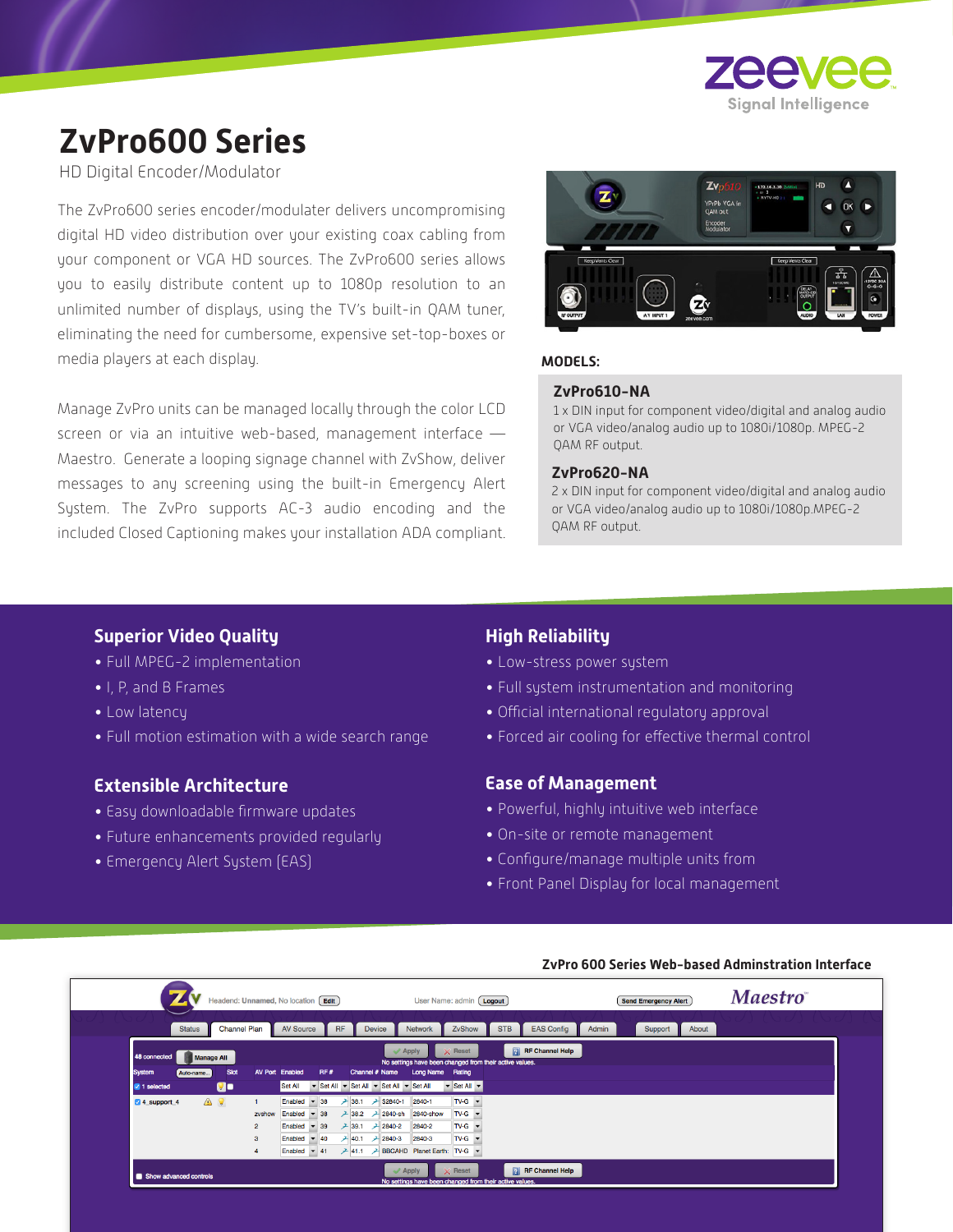

# **ZvPro600 Series**

HD Digital Encoder/Modulator

The ZvPro600 series encoder/modulater delivers uncompromising digital HD video distribution over your existing coax cabling from your component or VGA HD sources. The ZvPro600 series allows you to easily distribute content up to 1080p resolution to an unlimited number of displays, using the TV's built-in QAM tuner, eliminating the need for cumbersome, expensive set-top-boxes or media players at each display.

Manage ZvPro units can be managed locally through the color LCD screen or via an intuitive web-based, management interface -Maestro. Generate a looping signage channel with ZvShow, deliver messages to any screening using the built-in Emergency Alert System. The ZvPro supports AC-3 audio encoding and the included Closed Captioning makes your installation ADA compliant.



# **MODELS:**

#### **ZvPro610-NA**

1 x DIN input for component video/digital and analog audio or VGA video/analog audio up to 1080i/1080p. MPEG-2 QAM RF output.

#### **ZvPro620-NA**

2 x DIN input for component video/digital and analog audio or VGA video/analog audio up to 1080i/1080p.MPEG-2 QAM RF output.

#### **Superior Video Quality**

- Full MPEG-2 implementation
- I, P, and B Frames
- Low latency
- Full motion estimation with a wide search range

# **Extensible Architecture**

- Easy downloadable firmware updates
- Future enhancements provided regularly
- Emergency Alert System (EAS)

## **High Reliability**

- Low-stress power system
- Full system instrumentation and monitoring
- Official international regulatory approval
- Forced air cooling for effective thermal control

### **Ease of Management**

- Powerful, highly intuitive web interface
- On-site or remote management
- Configure/manage multiple units from
- Front Panel Display for local management

|                        |                                | Headend: Unnamed, No location [Edit] |                |                                 |       |           |                          | User Name: admin [ Logout]                                                            |                                                     |            |                        |       | <b>Send Emergency Alert</b> |       | <b>Maestro</b> |
|------------------------|--------------------------------|--------------------------------------|----------------|---------------------------------|-------|-----------|--------------------------|---------------------------------------------------------------------------------------|-----------------------------------------------------|------------|------------------------|-------|-----------------------------|-------|----------------|
|                        | <b>Status</b>                  | <b>Channel Plan</b>                  |                | <b>AV Source</b>                |       | <b>RF</b> | <b>Device</b>            | <b>Network</b>                                                                        | ZvShow                                              | <b>STB</b> | <b>EAS Config</b>      | Admin | Support                     | About |                |
| 48 connected           |                                |                                      |                |                                 |       |           |                          | $\mathcal$ Apply                                                                      | $\times$ Reset                                      |            | <b>RF</b> Channel Help |       |                             |       |                |
| <b>System</b>          | <b>Manage All</b><br>Auto-name | <b>Slot</b>                          |                | <b>AV Port Enabled</b>          | RF#   |           | Channel # Name           | No settings have been changed from their active values.<br>Long Name Rating           |                                                     |            |                        |       |                             |       |                |
| 2 1 selected           |                                | Q.                                   |                | Set All                         |       |           |                          | Set All v Set All v Set All v Set All                                                 | $\blacktriangleright$ Set All $\blacktriangleright$ |            |                        |       |                             |       |                |
| 4 4 support 4          |                                | ▲ ♀                                  |                | Enabled $\sqrt{38}$             |       |           | <b>→ 38.1 → \$2840-1</b> | 2840-1                                                                                | $TV-G$ $\star$                                      |            |                        |       |                             |       |                |
|                        |                                |                                      | zvshow         | Enabled                         | $-38$ |           | $-38.2$ $-2840$ -sh      | 2840-show                                                                             | $TV-G$ $\rightarrow$                                |            |                        |       |                             |       |                |
|                        |                                |                                      | $\overline{2}$ | Enabled $\overline{9}$ 39       |       |           | $+ 39.1 + 2840 - 2$      | 2840-2                                                                                | $TV-G$ $\rightarrow$                                |            |                        |       |                             |       |                |
|                        |                                |                                      | 3              | Enabled $\sqrt{40}$             |       |           | $+40.1$ $+2840-3$        | 2840-3                                                                                | $TV-G$ $\rightarrow$                                |            |                        |       |                             |       |                |
|                        |                                |                                      |                | Enabled $\blacktriangledown$ 41 |       |           |                          | → 41.1 → BBCAHD Planet Earth: TV-G ▼                                                  |                                                     |            |                        |       |                             |       |                |
| Show advanced controls |                                |                                      |                |                                 |       |           |                          | $\blacktriangledown$ Apply<br>No settings have been changed from their active values. | $\times$ Reset                                      |            | <b>RF</b> Channel Help |       |                             |       |                |

#### **ZvPro 600 Series Web-based Adminstration Interface**